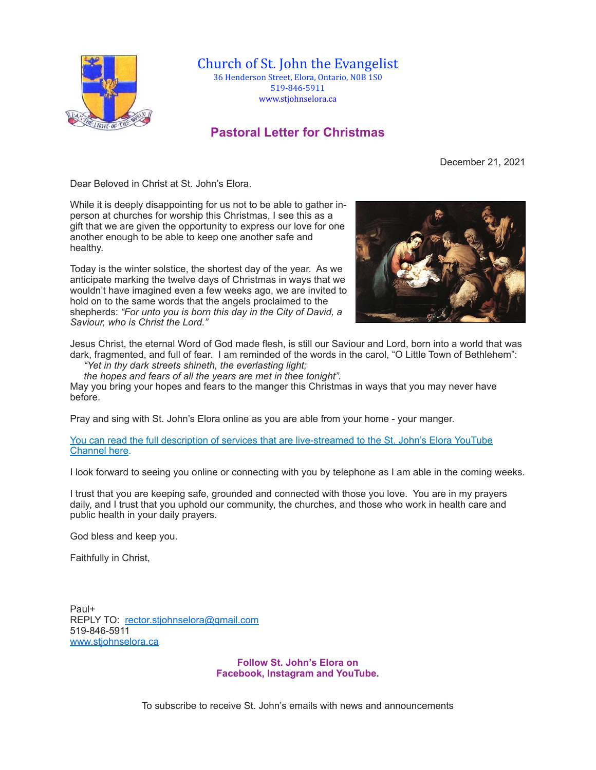

Church of St. John the Evangelist 36 Henderson Street, Elora, Ontario, N0B 1S0 519-846-5911 [www.stjohnselora.ca](http://www.stjohnselora.ca)

## **Pastoral Letter for Christmas**

December 21, 2021

Dear Beloved in Christ at St. John's Elora.

While it is deeply disappointing for us not to be able to gather inperson at churches for worship this Christmas, I see this as a gift that we are given the opportunity to express our love for one another enough to be able to keep one another safe and healthy.

Today is the winter solstice, the shortest day of the year. As we anticipate marking the twelve days of Christmas in ways that we wouldn't have imagined even a few weeks ago, we are invited to hold on to the same words that the angels proclaimed to the shepherds: *"For unto you is born this day in the City of David, a Saviour, who is Christ the Lord."* 



Jesus Christ, the eternal Word of God made flesh, is still our Saviour and Lord, born into a world that was dark, fragmented, and full of fear. I am reminded of the words in the carol, "O Little Town of Bethlehem": *"Yet in thy dark streets shineth, the everlasting light;* 

*the hopes and fears of all the years are met in thee tonight".*

May you bring your hopes and fears to the manger this Christmas in ways that you may never have before.

Pray and sing with St. John's Elora online as you are able from your home - your manger.

[You can read the full description of services that are live-streamed to the St. John's Elora YouTube](https://www.stjohnselora.ca/docs/PDF/Christmas%20Service%20Poster%202021.pdf)  [Channel here](https://www.stjohnselora.ca/docs/PDF/Christmas%20Service%20Poster%202021.pdf).

I look forward to seeing you online or connecting with you by telephone as I am able in the coming weeks.

I trust that you are keeping safe, grounded and connected with those you love. You are in my prayers daily, and I trust that you uphold our community, the churches, and those who work in health care and public health in your daily prayers.

God bless and keep you.

Faithfully in Christ,

Paul+ REPLY TO: [rector.stjohnselora@gmail.com](mailto:rector.stjohnselora@gmail.com) 519-846-5911 [www.stjohnselora.ca](http://www.stjohnselora.ca/)

> **Follow St. John's Elora on Facebook, Instagram and YouTube.**

To subscribe to receive St. John's emails with news and announcements